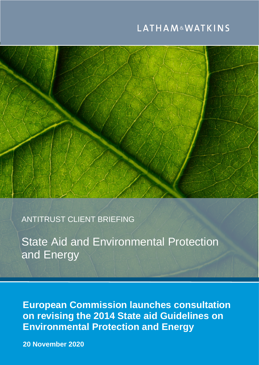# **LATHAM&WATKINS**



ANTITRUST CLIENT BRIEFING

State Aid and Environmental Protection and Energy

**European Commission launches consultation on revising the 2014 State aid Guidelines on Environmental Protection and Energy**

**November 2020 Contract Contract Contract Contract Contract Contract Contract Contract Contract Contract Contract** of Saudi Arabia. © Copyright 2019 Latham & Watkins. All Rights Reserved. **20 November 2020**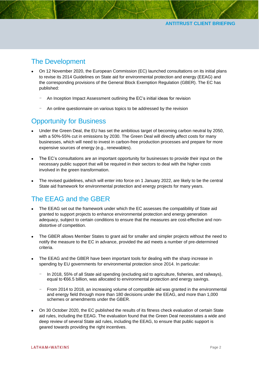### The Development

- On 12 November 2020, the European Commission (EC) launched consultations on its initial plans to revise its 2014 Guidelines on State aid for environmental protection and energy (EEAG) and the corresponding provisions of the General Block Exemption Regulation (GBER). The EC has published:
	- An Inception Impact Assessment outlining the EC's initial ideas for revision
	- An online questionnaire on various topics to be addressed by the revision

## **Opportunity for Business**

- Under the Green Deal, the EU has set the ambitious target of becoming carbon neutral by 2050, with a 50%-55% cut in emissions by 2030. The Green Deal will directly affect costs for many businesses, which will need to invest in carbon-free production processes and prepare for more expensive sources of energy (e.g., renewables).
- The EC's consultations are an important opportunity for businesses to provide their input on the necessary public support that will be required in their sectors to deal with the higher costs involved in the green transformation.
- The revised guidelines, which will enter into force on 1 January 2022, are likely to be the central State aid framework for environmental protection and energy projects for many years.

# The EEAG and the GBER

- The EEAG set out the framework under which the EC assesses the compatibility of State aid granted to support projects to enhance environmental protection and energy generation adequacy, subject to certain conditions to ensure that the measures are cost-effective and nondistortive of competition.
- The GBER allows Member States to grant aid for smaller and simpler projects without the need to notify the measure to the EC in advance, provided the aid meets a number of pre-determined criteria.
- The EEAG and the GBER have been important tools for dealing with the sharp increase in spending by EU governments for environmental protection since 2014. In particular:
	- In 2018, 55% of all State aid spending (excluding aid to agriculture, fisheries, and railways), equal to €66.5 billion, was allocated to environmental protection and energy savings.
	- From 2014 to 2018, an increasing volume of compatible aid was granted in the environmental and energy field through more than 180 decisions under the EEAG, and more than 1,000 schemes or amendments under the GBER.
- On 30 October 2020, the EC published the results of its fitness check evaluation of certain State aid rules, including the EEAG. The evaluation found that the Green Deal necessitates a wide and deep review of several State aid rules, including the EEAG, to ensure that public support is geared towards providing the right incentives.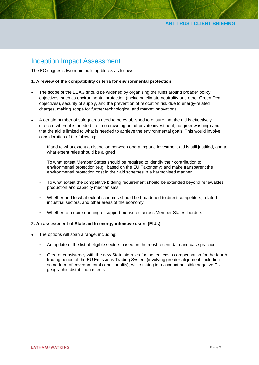### Inception Impact Assessment

The EC suggests two main building blocks as follows:

#### **1. A review of the compatibility criteria for environmental protection**

- The scope of the EEAG should be widened by organising the rules around broader policy objectives, such as environmental protection (including climate neutrality and other Green Deal objectives), security of supply, and the prevention of relocation risk due to energy-related charges, making scope for further technological and market innovations.
- A certain number of safeguards need to be established to ensure that the aid is effectively directed where it is needed (i.e., no crowding out of private investment, no greenwashing) and that the aid is limited to what is needed to achieve the environmental goals. This would involve consideration of the following:
	- If and to what extent a distinction between operating and investment aid is still justified, and to what extent rules should be aligned
	- To what extent Member States should be required to identify their contribution to environmental protection (e.g., based on the EU Taxonomy) and make transparent the environmental protection cost in their aid schemes in a harmonised manner
	- To what extent the competitive bidding requirement should be extended beyond renewables production and capacity mechanisms
	- Whether and to what extent schemes should be broadened to direct competitors, related industrial sectors, and other areas of the economy
	- Whether to require opening of support measures across Member States' borders

#### **2. An assessment of State aid to energy-intensive users (EIUs)**

- The options will span a range, including:
	- An update of the list of eligible sectors based on the most recent data and case practice
	- Greater consistency with the new State aid rules for indirect costs compensation for the fourth trading period of the EU Emissions Trading System (involving greater alignment, including some form of environmental conditionality), while taking into account possible negative EU geographic distribution effects.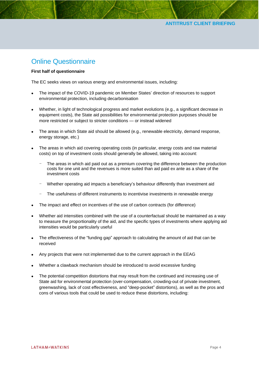### Online Questionnaire

#### **First half of questionnaire**

The EC seeks views on various energy and environmental issues, including:

- The impact of the COVID-19 pandemic on Member States' direction of resources to support environmental protection, including decarbonisation
- Whether, in light of technological progress and market evolutions (e.g., a significant decrease in equipment costs), the State aid possibilities for environmental protection purposes should be more restricted or subject to stricter conditions — or instead widened
- The areas in which State aid should be allowed (e.g., renewable electricity, demand response, energy storage, etc.)
- The areas in which aid covering operating costs (in particular, energy costs and raw material costs) on top of investment costs should generally be allowed, taking into account:
	- The areas in which aid paid out as a premium covering the difference between the production costs for one unit and the revenues is more suited than aid paid ex ante as a share of the investment costs
	- Whether operating aid impacts a beneficiary's behaviour differently than investment aid
	- The usefulness of different instruments to incentivise investments in renewable energy
- The impact and effect on incentives of the use of carbon contracts (for difference)
- Whether aid intensities combined with the use of a counterfactual should be maintained as a way to measure the proportionality of the aid, and the specific types of investments where applying aid intensities would be particularly useful
- The effectiveness of the "funding gap" approach to calculating the amount of aid that can be received
- Any projects that were not implemented due to the current approach in the EEAG
- Whether a clawback mechanism should be introduced to avoid excessive funding
- The potential competition distortions that may result from the continued and increasing use of State aid for environmental protection (over-compensation, crowding-out of private investment, greenwashing, lack of cost effectiveness, and "deep-pocket" distortions), as well as the pros and cons of various tools that could be used to reduce these distortions, including: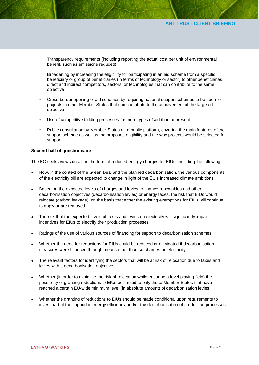#### **ANTITRUST CLIENT BRIEFING**

- Transparency requirements (including reporting the actual cost per unit of environmental benefit, such as emissions reduced)
- Broadening by increasing the eligibility for participating in an aid scheme from a specific beneficiary or group of beneficiaries (in terms of technology or sector) to other beneficiaries, direct and indirect competitors, sectors, or technologies that can contribute to the same objective
- Cross-border opening of aid schemes by requiring national support schemes to be open to projects in other Member States that can contribute to the achievement of the targeted objective
- Use of competitive bidding processes for more types of aid than at present
- Public consultation by Member States on a public platform, covering the main features of the support scheme as well as the proposed eligibility and the way projects would be selected for support

#### **Second half of questionnaire**

The EC seeks views on aid in the form of reduced energy charges for EIUs, including the following:

- How, in the context of the Green Deal and the planned decarbonisation, the various components of the electricity bill are expected to change in light of the EU's increased climate ambitions
- Based on the expected levels of charges and levies to finance renewables and other decarbonisation objectives (decarbonisation levies) or energy taxes, the risk that EIUs would relocate (carbon leakage), on the basis that either the existing exemptions for EIUs will continue to apply or are removed
- The risk that the expected levels of taxes and levies on electricity will significantly impair incentives for EIUs to electrify their production processes
- Ratings of the use of various sources of financing for support to decarbonisation schemes
- Whether the need for reductions for EIUs could be reduced or eliminated if decarbonisation measures were financed through means other than surcharges on electricity
- The relevant factors for identifying the sectors that will be at risk of relocation due to taxes and levies with a decarbonisation objective
- Whether (in order to minimise the risk of relocation while ensuring a level playing field) the possibility of granting reductions to EIUs be limited to only those Member States that have reached a certain EU-wide minimum level (in absolute amount) of decarbonisation levies
- Whether the granting of reductions to EIUs should be made conditional upon requirements to invest part of the support in energy efficiency and/or the decarbonisation of production processes